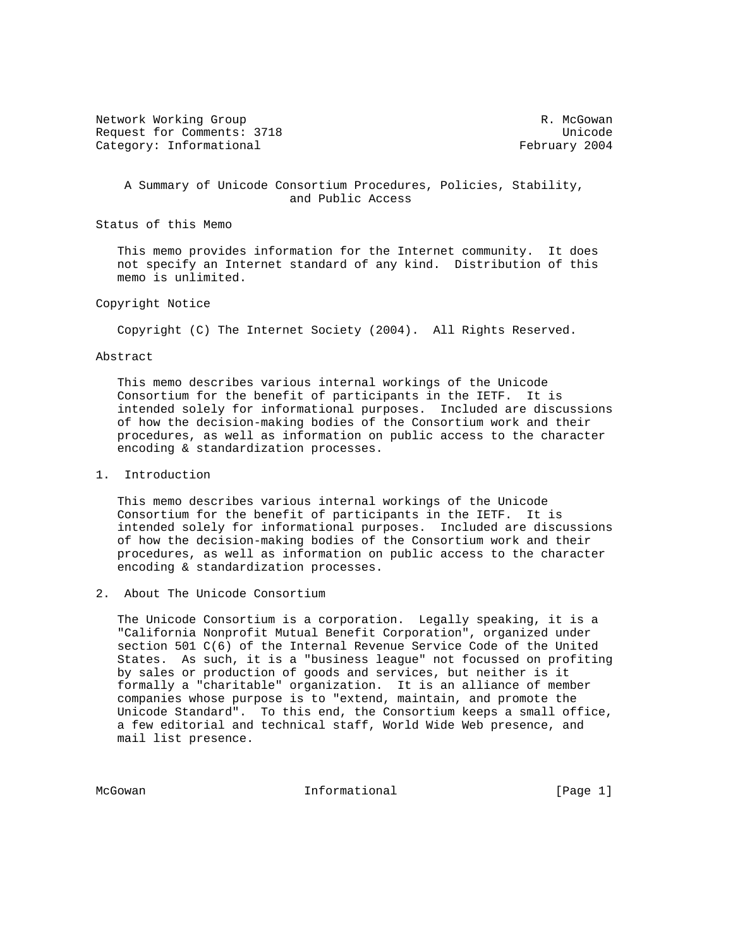Network Working Group and the set of the set of the set of the set of the set of the set of the set of the set of the set of the set of the set of the set of the set of the set of the set of the set of the set of the set o Request for Comments: 3718 Unicode Category: Informational example of the control of the February 2004

 A Summary of Unicode Consortium Procedures, Policies, Stability, and Public Access

Status of this Memo

 This memo provides information for the Internet community. It does not specify an Internet standard of any kind. Distribution of this memo is unlimited.

## Copyright Notice

Copyright (C) The Internet Society (2004). All Rights Reserved.

#### Abstract

 This memo describes various internal workings of the Unicode Consortium for the benefit of participants in the IETF. It is intended solely for informational purposes. Included are discussions of how the decision-making bodies of the Consortium work and their procedures, as well as information on public access to the character encoding & standardization processes.

## 1. Introduction

 This memo describes various internal workings of the Unicode Consortium for the benefit of participants in the IETF. It is intended solely for informational purposes. Included are discussions of how the decision-making bodies of the Consortium work and their procedures, as well as information on public access to the character encoding & standardization processes.

2. About The Unicode Consortium

 The Unicode Consortium is a corporation. Legally speaking, it is a "California Nonprofit Mutual Benefit Corporation", organized under section 501 C(6) of the Internal Revenue Service Code of the United States. As such, it is a "business league" not focussed on profiting by sales or production of goods and services, but neither is it formally a "charitable" organization. It is an alliance of member companies whose purpose is to "extend, maintain, and promote the Unicode Standard". To this end, the Consortium keeps a small office, a few editorial and technical staff, World Wide Web presence, and mail list presence.

McGowan 10 1nformational 1996 [Page 1]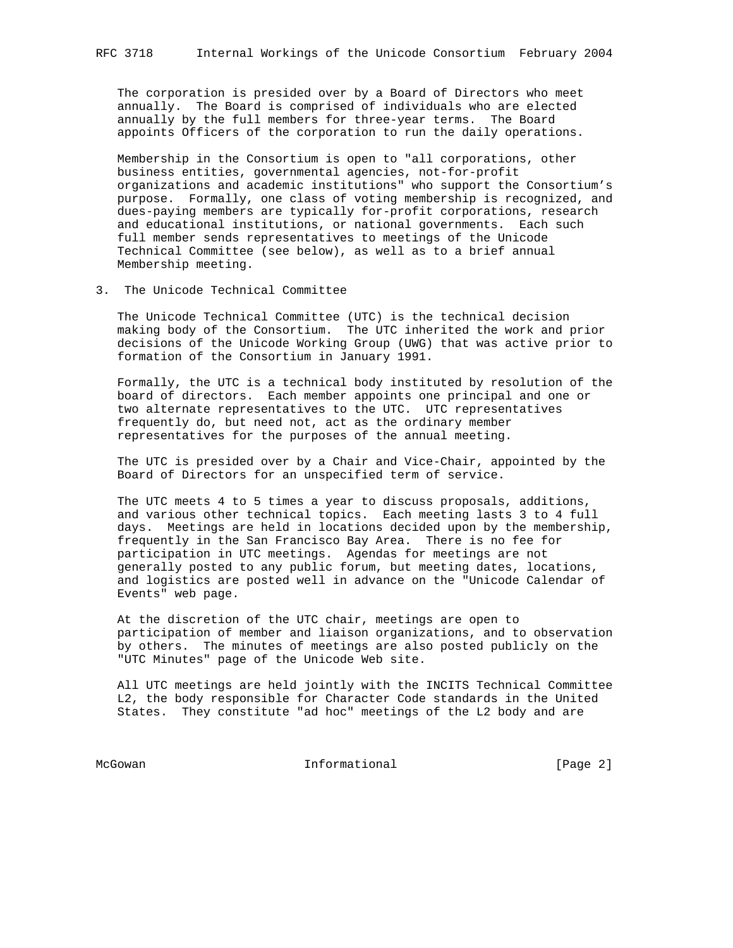The corporation is presided over by a Board of Directors who meet annually. The Board is comprised of individuals who are elected annually by the full members for three-year terms. The Board appoints Officers of the corporation to run the daily operations.

 Membership in the Consortium is open to "all corporations, other business entities, governmental agencies, not-for-profit organizations and academic institutions" who support the Consortium's purpose. Formally, one class of voting membership is recognized, and dues-paying members are typically for-profit corporations, research and educational institutions, or national governments. Each such full member sends representatives to meetings of the Unicode Technical Committee (see below), as well as to a brief annual Membership meeting.

3. The Unicode Technical Committee

 The Unicode Technical Committee (UTC) is the technical decision making body of the Consortium. The UTC inherited the work and prior decisions of the Unicode Working Group (UWG) that was active prior to formation of the Consortium in January 1991.

 Formally, the UTC is a technical body instituted by resolution of the board of directors. Each member appoints one principal and one or two alternate representatives to the UTC. UTC representatives frequently do, but need not, act as the ordinary member representatives for the purposes of the annual meeting.

 The UTC is presided over by a Chair and Vice-Chair, appointed by the Board of Directors for an unspecified term of service.

 The UTC meets 4 to 5 times a year to discuss proposals, additions, and various other technical topics. Each meeting lasts 3 to 4 full days. Meetings are held in locations decided upon by the membership, frequently in the San Francisco Bay Area. There is no fee for participation in UTC meetings. Agendas for meetings are not generally posted to any public forum, but meeting dates, locations, and logistics are posted well in advance on the "Unicode Calendar of Events" web page.

 At the discretion of the UTC chair, meetings are open to participation of member and liaison organizations, and to observation by others. The minutes of meetings are also posted publicly on the "UTC Minutes" page of the Unicode Web site.

 All UTC meetings are held jointly with the INCITS Technical Committee L2, the body responsible for Character Code standards in the United States. They constitute "ad hoc" meetings of the L2 body and are

McGowan 101 Informational 1000 Informational 1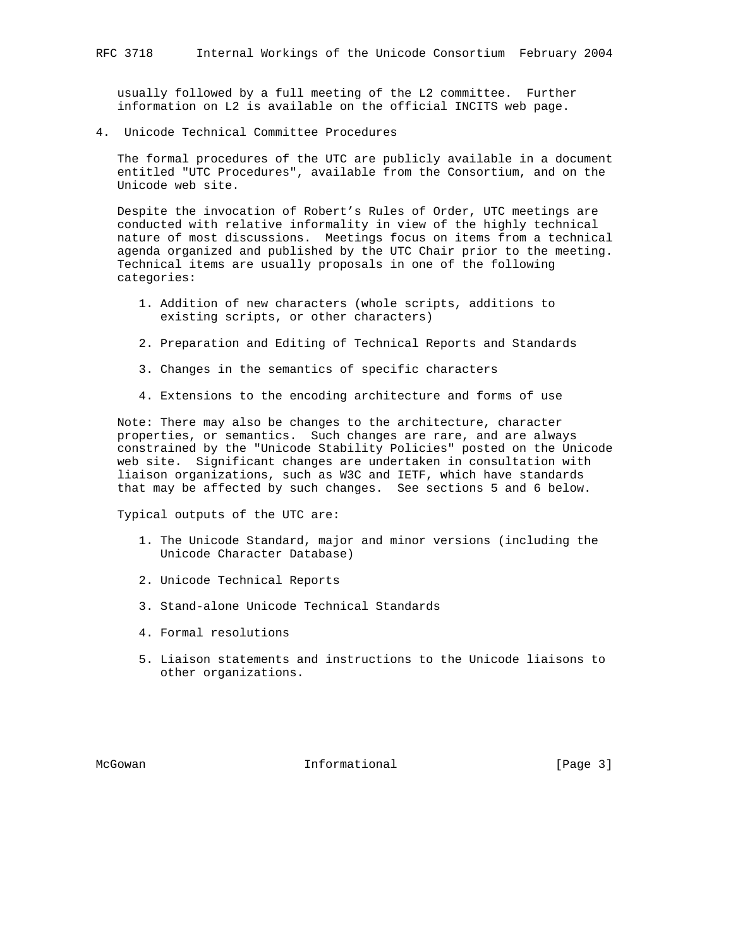usually followed by a full meeting of the L2 committee. Further information on L2 is available on the official INCITS web page.

4. Unicode Technical Committee Procedures

 The formal procedures of the UTC are publicly available in a document entitled "UTC Procedures", available from the Consortium, and on the Unicode web site.

 Despite the invocation of Robert's Rules of Order, UTC meetings are conducted with relative informality in view of the highly technical nature of most discussions. Meetings focus on items from a technical agenda organized and published by the UTC Chair prior to the meeting. Technical items are usually proposals in one of the following categories:

- 1. Addition of new characters (whole scripts, additions to existing scripts, or other characters)
- 2. Preparation and Editing of Technical Reports and Standards
- 3. Changes in the semantics of specific characters
- 4. Extensions to the encoding architecture and forms of use

 Note: There may also be changes to the architecture, character properties, or semantics. Such changes are rare, and are always constrained by the "Unicode Stability Policies" posted on the Unicode web site. Significant changes are undertaken in consultation with liaison organizations, such as W3C and IETF, which have standards that may be affected by such changes. See sections 5 and 6 below.

Typical outputs of the UTC are:

- 1. The Unicode Standard, major and minor versions (including the Unicode Character Database)
- 2. Unicode Technical Reports
- 3. Stand-alone Unicode Technical Standards
- 4. Formal resolutions
- 5. Liaison statements and instructions to the Unicode liaisons to other organizations.

McGowan **Informational** Informational [Page 3]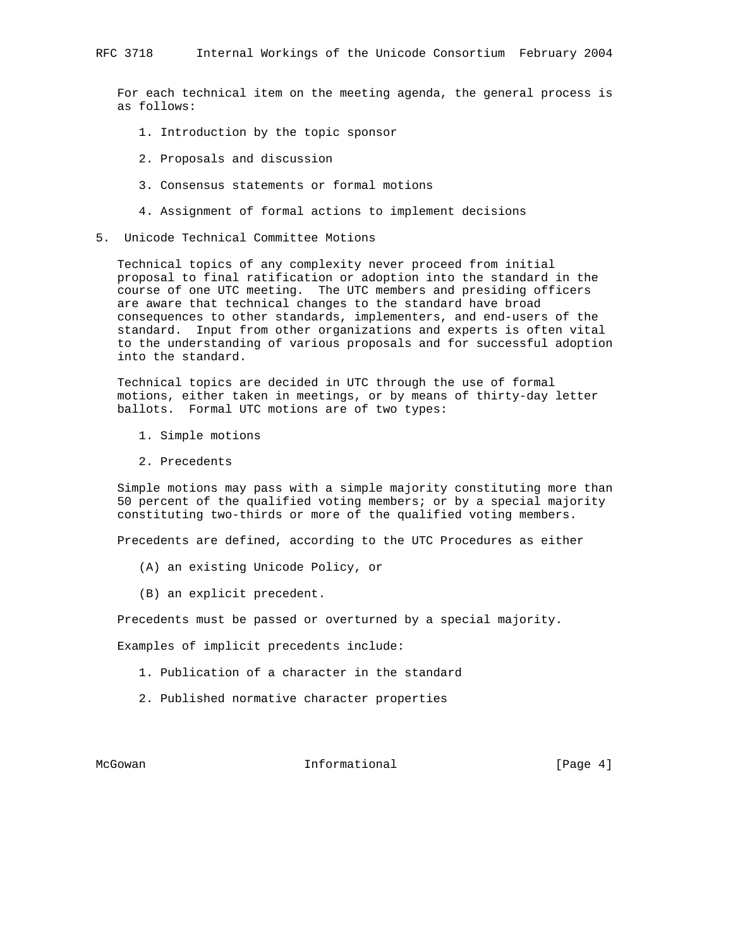For each technical item on the meeting agenda, the general process is as follows:

- 1. Introduction by the topic sponsor
- 2. Proposals and discussion
- 3. Consensus statements or formal motions
- 4. Assignment of formal actions to implement decisions
- 5. Unicode Technical Committee Motions

 Technical topics of any complexity never proceed from initial proposal to final ratification or adoption into the standard in the course of one UTC meeting. The UTC members and presiding officers are aware that technical changes to the standard have broad consequences to other standards, implementers, and end-users of the standard. Input from other organizations and experts is often vital to the understanding of various proposals and for successful adoption into the standard.

 Technical topics are decided in UTC through the use of formal motions, either taken in meetings, or by means of thirty-day letter ballots. Formal UTC motions are of two types:

- 1. Simple motions
- 2. Precedents

 Simple motions may pass with a simple majority constituting more than 50 percent of the qualified voting members; or by a special majority constituting two-thirds or more of the qualified voting members.

Precedents are defined, according to the UTC Procedures as either

- (A) an existing Unicode Policy, or
- (B) an explicit precedent.

Precedents must be passed or overturned by a special majority.

Examples of implicit precedents include:

- 1. Publication of a character in the standard
- 2. Published normative character properties

McGowan **Informational** Informational [Page 4]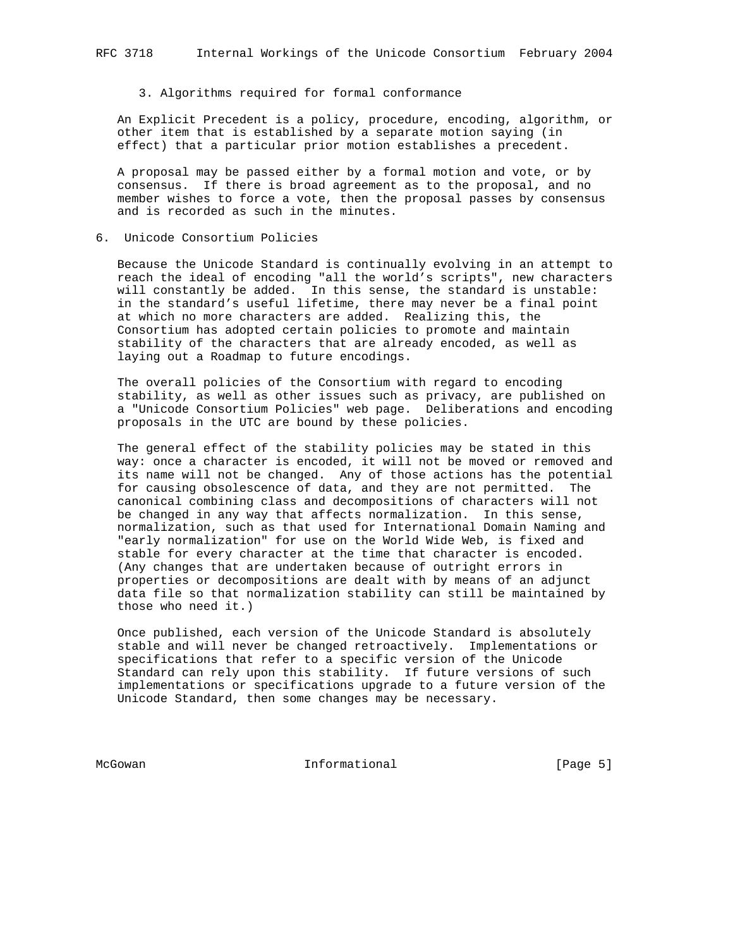3. Algorithms required for formal conformance

 An Explicit Precedent is a policy, procedure, encoding, algorithm, or other item that is established by a separate motion saying (in effect) that a particular prior motion establishes a precedent.

 A proposal may be passed either by a formal motion and vote, or by consensus. If there is broad agreement as to the proposal, and no member wishes to force a vote, then the proposal passes by consensus and is recorded as such in the minutes.

6. Unicode Consortium Policies

 Because the Unicode Standard is continually evolving in an attempt to reach the ideal of encoding "all the world's scripts", new characters will constantly be added. In this sense, the standard is unstable: in the standard's useful lifetime, there may never be a final point at which no more characters are added. Realizing this, the Consortium has adopted certain policies to promote and maintain stability of the characters that are already encoded, as well as laying out a Roadmap to future encodings.

 The overall policies of the Consortium with regard to encoding stability, as well as other issues such as privacy, are published on a "Unicode Consortium Policies" web page. Deliberations and encoding proposals in the UTC are bound by these policies.

 The general effect of the stability policies may be stated in this way: once a character is encoded, it will not be moved or removed and its name will not be changed. Any of those actions has the potential for causing obsolescence of data, and they are not permitted. The canonical combining class and decompositions of characters will not be changed in any way that affects normalization. In this sense, normalization, such as that used for International Domain Naming and "early normalization" for use on the World Wide Web, is fixed and stable for every character at the time that character is encoded. (Any changes that are undertaken because of outright errors in properties or decompositions are dealt with by means of an adjunct data file so that normalization stability can still be maintained by those who need it.)

 Once published, each version of the Unicode Standard is absolutely stable and will never be changed retroactively. Implementations or specifications that refer to a specific version of the Unicode Standard can rely upon this stability. If future versions of such implementations or specifications upgrade to a future version of the Unicode Standard, then some changes may be necessary.

McGowan **Informational** Informational [Page 5]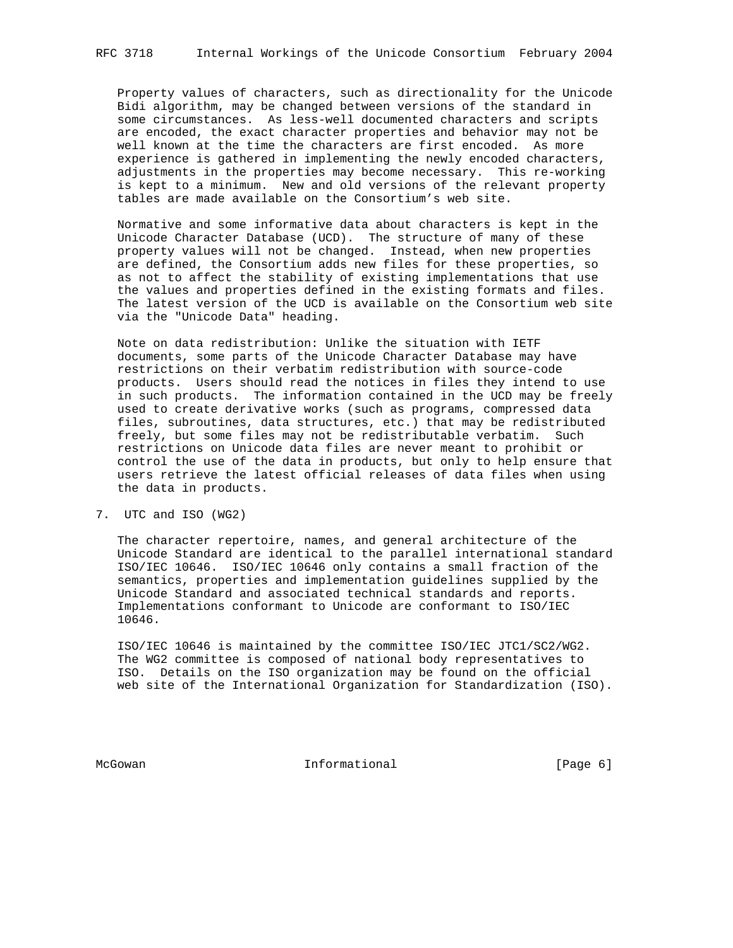Property values of characters, such as directionality for the Unicode Bidi algorithm, may be changed between versions of the standard in some circumstances. As less-well documented characters and scripts are encoded, the exact character properties and behavior may not be well known at the time the characters are first encoded. As more experience is gathered in implementing the newly encoded characters, adjustments in the properties may become necessary. This re-working is kept to a minimum. New and old versions of the relevant property tables are made available on the Consortium's web site.

 Normative and some informative data about characters is kept in the Unicode Character Database (UCD). The structure of many of these property values will not be changed. Instead, when new properties are defined, the Consortium adds new files for these properties, so as not to affect the stability of existing implementations that use the values and properties defined in the existing formats and files. The latest version of the UCD is available on the Consortium web site via the "Unicode Data" heading.

 Note on data redistribution: Unlike the situation with IETF documents, some parts of the Unicode Character Database may have restrictions on their verbatim redistribution with source-code products. Users should read the notices in files they intend to use in such products. The information contained in the UCD may be freely used to create derivative works (such as programs, compressed data files, subroutines, data structures, etc.) that may be redistributed freely, but some files may not be redistributable verbatim. Such restrictions on Unicode data files are never meant to prohibit or control the use of the data in products, but only to help ensure that users retrieve the latest official releases of data files when using the data in products.

#### 7. UTC and ISO (WG2)

 The character repertoire, names, and general architecture of the Unicode Standard are identical to the parallel international standard ISO/IEC 10646. ISO/IEC 10646 only contains a small fraction of the semantics, properties and implementation guidelines supplied by the Unicode Standard and associated technical standards and reports. Implementations conformant to Unicode are conformant to ISO/IEC 10646.

 ISO/IEC 10646 is maintained by the committee ISO/IEC JTC1/SC2/WG2. The WG2 committee is composed of national body representatives to ISO. Details on the ISO organization may be found on the official web site of the International Organization for Standardization (ISO).

McGowan **Informational** Informational [Page 6]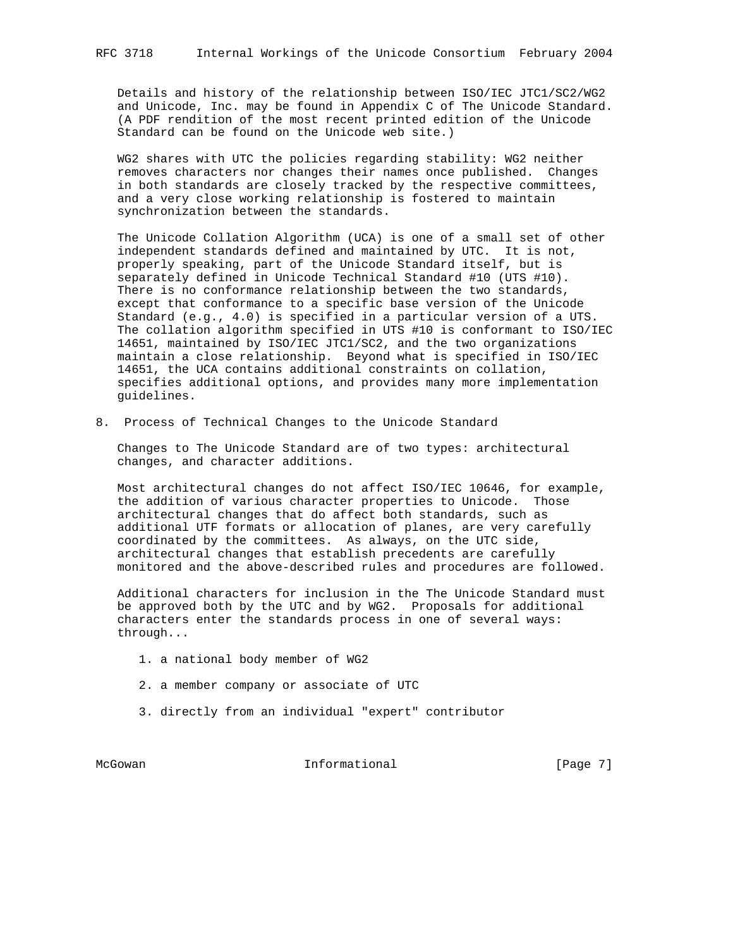Details and history of the relationship between ISO/IEC JTC1/SC2/WG2 and Unicode, Inc. may be found in Appendix C of The Unicode Standard. (A PDF rendition of the most recent printed edition of the Unicode Standard can be found on the Unicode web site.)

 WG2 shares with UTC the policies regarding stability: WG2 neither removes characters nor changes their names once published. Changes in both standards are closely tracked by the respective committees, and a very close working relationship is fostered to maintain synchronization between the standards.

 The Unicode Collation Algorithm (UCA) is one of a small set of other independent standards defined and maintained by UTC. It is not, properly speaking, part of the Unicode Standard itself, but is separately defined in Unicode Technical Standard #10 (UTS #10). There is no conformance relationship between the two standards, except that conformance to a specific base version of the Unicode Standard (e.g., 4.0) is specified in a particular version of a UTS. The collation algorithm specified in UTS #10 is conformant to ISO/IEC 14651, maintained by ISO/IEC JTC1/SC2, and the two organizations maintain a close relationship. Beyond what is specified in ISO/IEC 14651, the UCA contains additional constraints on collation, specifies additional options, and provides many more implementation guidelines.

8. Process of Technical Changes to the Unicode Standard

 Changes to The Unicode Standard are of two types: architectural changes, and character additions.

 Most architectural changes do not affect ISO/IEC 10646, for example, the addition of various character properties to Unicode. Those architectural changes that do affect both standards, such as additional UTF formats or allocation of planes, are very carefully coordinated by the committees. As always, on the UTC side, architectural changes that establish precedents are carefully monitored and the above-described rules and procedures are followed.

 Additional characters for inclusion in the The Unicode Standard must be approved both by the UTC and by WG2. Proposals for additional characters enter the standards process in one of several ways: through...

- 1. a national body member of WG2
- 2. a member company or associate of UTC
- 3. directly from an individual "expert" contributor

McGowan **Informational** Informational [Page 7]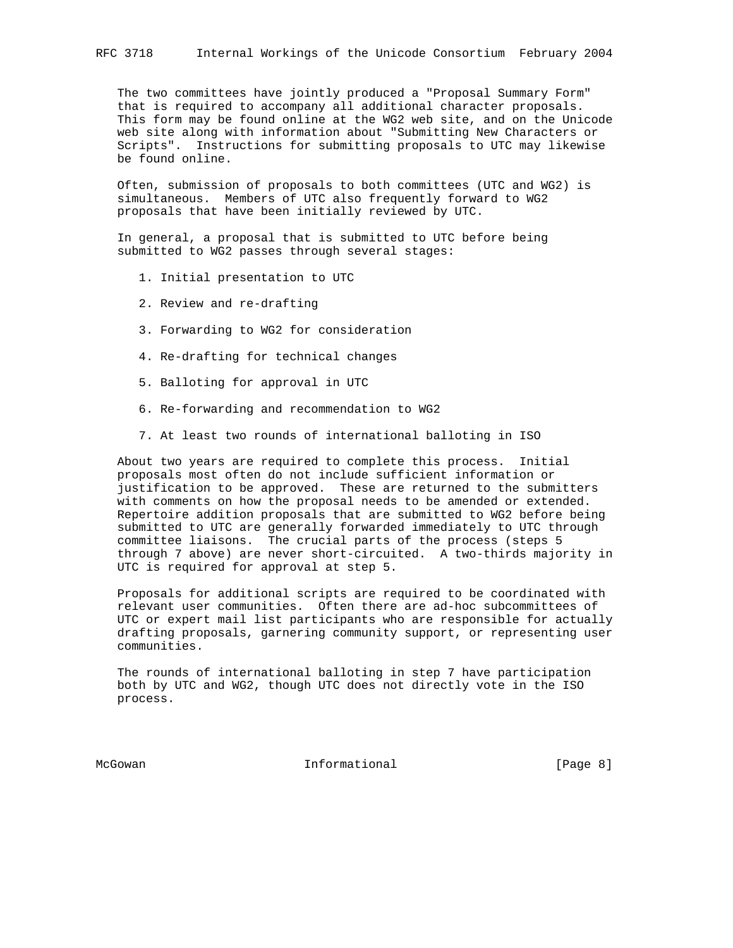The two committees have jointly produced a "Proposal Summary Form" that is required to accompany all additional character proposals. This form may be found online at the WG2 web site, and on the Unicode web site along with information about "Submitting New Characters or Scripts". Instructions for submitting proposals to UTC may likewise be found online.

 Often, submission of proposals to both committees (UTC and WG2) is simultaneous. Members of UTC also frequently forward to WG2 proposals that have been initially reviewed by UTC.

 In general, a proposal that is submitted to UTC before being submitted to WG2 passes through several stages:

- 1. Initial presentation to UTC
- 2. Review and re-drafting
- 3. Forwarding to WG2 for consideration
- 4. Re-drafting for technical changes
- 5. Balloting for approval in UTC
- 6. Re-forwarding and recommendation to WG2
- 7. At least two rounds of international balloting in ISO

 About two years are required to complete this process. Initial proposals most often do not include sufficient information or justification to be approved. These are returned to the submitters with comments on how the proposal needs to be amended or extended. Repertoire addition proposals that are submitted to WG2 before being submitted to UTC are generally forwarded immediately to UTC through committee liaisons. The crucial parts of the process (steps 5 through 7 above) are never short-circuited. A two-thirds majority in UTC is required for approval at step 5.

 Proposals for additional scripts are required to be coordinated with relevant user communities. Often there are ad-hoc subcommittees of UTC or expert mail list participants who are responsible for actually drafting proposals, garnering community support, or representing user communities.

 The rounds of international balloting in step 7 have participation both by UTC and WG2, though UTC does not directly vote in the ISO process.

McGowan **Informational** Informational **Informational** [Page 8]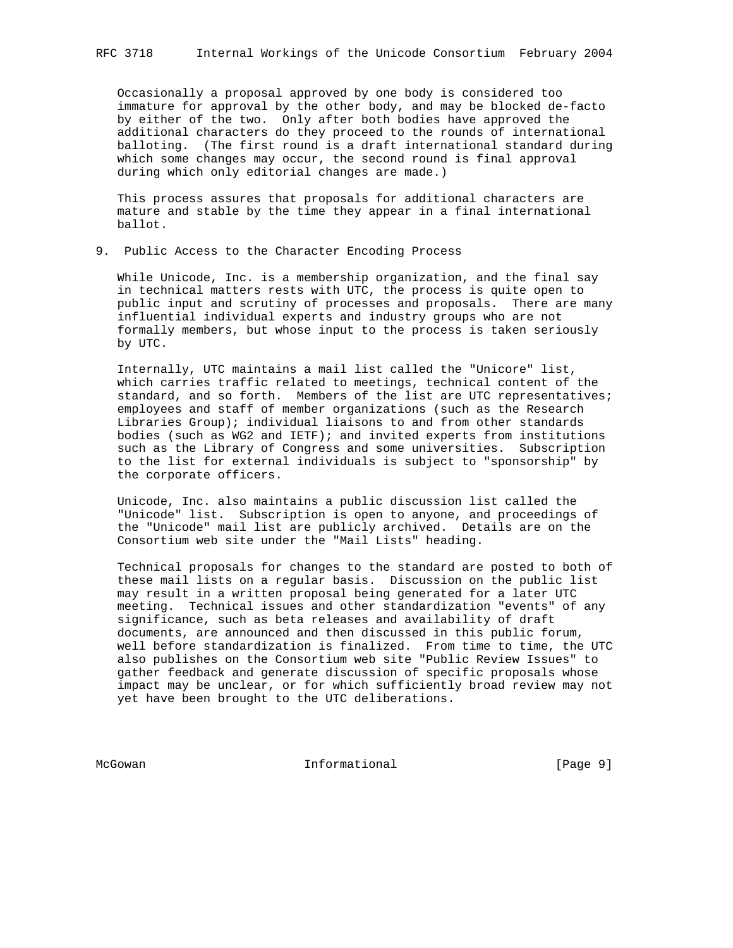Occasionally a proposal approved by one body is considered too immature for approval by the other body, and may be blocked de-facto by either of the two. Only after both bodies have approved the additional characters do they proceed to the rounds of international balloting. (The first round is a draft international standard during which some changes may occur, the second round is final approval during which only editorial changes are made.)

 This process assures that proposals for additional characters are mature and stable by the time they appear in a final international ballot.

9. Public Access to the Character Encoding Process

 While Unicode, Inc. is a membership organization, and the final say in technical matters rests with UTC, the process is quite open to public input and scrutiny of processes and proposals. There are many influential individual experts and industry groups who are not formally members, but whose input to the process is taken seriously by UTC.

 Internally, UTC maintains a mail list called the "Unicore" list, which carries traffic related to meetings, technical content of the standard, and so forth. Members of the list are UTC representatives; employees and staff of member organizations (such as the Research Libraries Group); individual liaisons to and from other standards bodies (such as WG2 and IETF); and invited experts from institutions such as the Library of Congress and some universities. Subscription to the list for external individuals is subject to "sponsorship" by the corporate officers.

 Unicode, Inc. also maintains a public discussion list called the "Unicode" list. Subscription is open to anyone, and proceedings of the "Unicode" mail list are publicly archived. Details are on the Consortium web site under the "Mail Lists" heading.

 Technical proposals for changes to the standard are posted to both of these mail lists on a regular basis. Discussion on the public list may result in a written proposal being generated for a later UTC meeting. Technical issues and other standardization "events" of any significance, such as beta releases and availability of draft documents, are announced and then discussed in this public forum, well before standardization is finalized. From time to time, the UTC also publishes on the Consortium web site "Public Review Issues" to gather feedback and generate discussion of specific proposals whose impact may be unclear, or for which sufficiently broad review may not yet have been brought to the UTC deliberations.

McGowan **Informational** Informational [Page 9]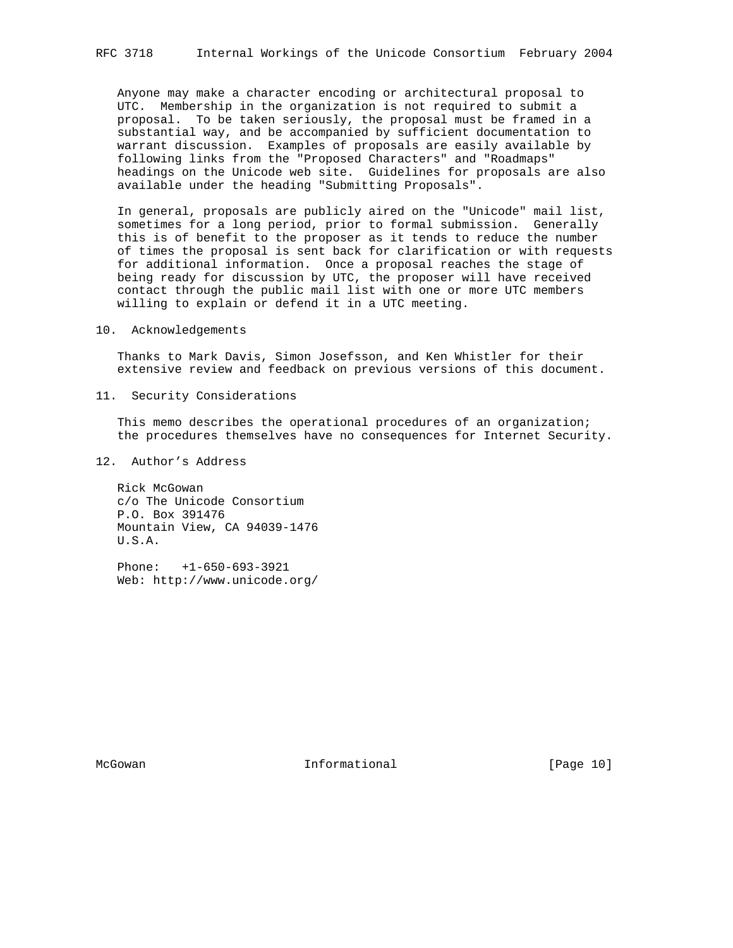Anyone may make a character encoding or architectural proposal to UTC. Membership in the organization is not required to submit a proposal. To be taken seriously, the proposal must be framed in a substantial way, and be accompanied by sufficient documentation to warrant discussion. Examples of proposals are easily available by following links from the "Proposed Characters" and "Roadmaps" headings on the Unicode web site. Guidelines for proposals are also available under the heading "Submitting Proposals".

 In general, proposals are publicly aired on the "Unicode" mail list, sometimes for a long period, prior to formal submission. Generally this is of benefit to the proposer as it tends to reduce the number of times the proposal is sent back for clarification or with requests for additional information. Once a proposal reaches the stage of being ready for discussion by UTC, the proposer will have received contact through the public mail list with one or more UTC members willing to explain or defend it in a UTC meeting.

10. Acknowledgements

 Thanks to Mark Davis, Simon Josefsson, and Ken Whistler for their extensive review and feedback on previous versions of this document.

11. Security Considerations

 This memo describes the operational procedures of an organization; the procedures themselves have no consequences for Internet Security.

## 12. Author's Address

 Rick McGowan c/o The Unicode Consortium P.O. Box 391476 Mountain View, CA 94039-1476 U.S.A.

 Phone: +1-650-693-3921 Web: http://www.unicode.org/

McGowan **Informational** Informational [Page 10]